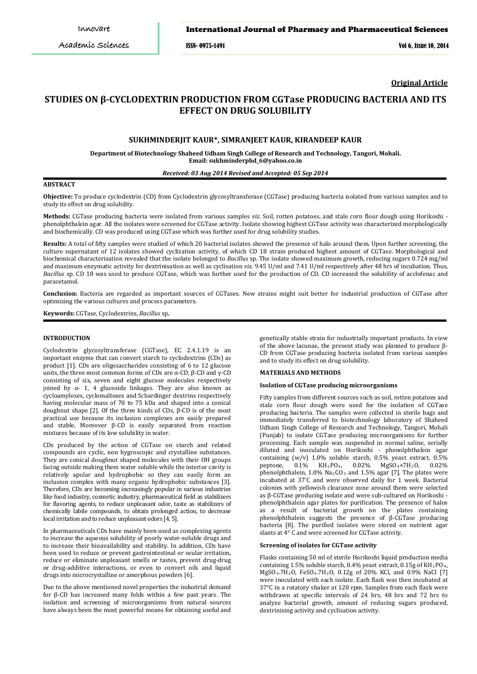ISSN- 0975-1491 Vol 6, Issue 10, 2014

**Original Article**

# **STUDIES ON β-CYCLODEXTRIN PRODUCTION FROM CGTase PRODUCING BACTERIA AND ITS EFFECT ON DRUG SOLUBILITY**

# **SUKHMINDERJIT KAUR\*, SIMRANJEET KAUR, KIRANDEEP KAUR**

**Department of Biotechnology Shaheed Udham Singh College of Research and Technology, Tangori, Mohali. Email: sukhminderphd\_6@yahoo.co.in**

### *Received: 03 Aug 2014 Revised and Accepted: 05 Sep 2014*

# **ABSTRACT**

**Objective:** To produce cyclodextrin (CD) from Cyclodextrin glycosyltransferase (CGTase) producing bacteria isolated from various samples and to study its effect on drug solubility.

**Methods:** CGTase producing bacteria were isolated from various samples *viz*. Soil, rotten potatoes, and stale corn flour dough using Horikoshi phenolphthalein agar. All the isolates were screened for CGTase activity. Isolate showing highest CGTase activity was characterized morphologically and biochemically. CD was produced using CGTase which was further used for drug solubility studies.

**Results:** A total of fifty samples were studied of which 20 bacterial isolates showed the presence of halo around them. Upon further screening, the culture supernatant of 12 isolates showed cyclization activity, of which CD 18 strain produced highest amount of CGTase. Morphological and biochemical characterization revealed that the isolate belonged to *Bacillus* sp. The isolate showed maximum growth, reducing sugars 0.724 mg/ml and maximum enzymatic activity for dextrinisation as well as cyclisation *viz*. 9.45 U/ml and 7.41 U/ml respectively after 48 hrs of incubation. Thus, *Bacillus* sp. CD 18 was used to produce CGTase, which was further used for the production of CD. CD increased the solubility of acclofenac and paracetamol.

**Conclusion:** Bacteria are regarded as important sources of CGTases. New strains might suit better for industrial production of CGTase after optimizing the various cultures and process parameters.

**Keywords:** CGTase, Cyclodextrins, *Bacillus* sp**.**

### **INTRODUCTION**

Cyclodextrin glycosyltransferase (CGTase), EC 2.4.1.19 is an important enzyme that can convert starch to cyclodextrins (CDs) as product [1]. CDs are oligosaccharides consisting of 6 to 12 glucose units, the three most common forms of CDs are  $\alpha$ -CD, β-CD and γ-CD consisting of six, seven and eight glucose molecules respectively joined by α- 1, 4 glucoside linkages. They are also known as cycloamyloses, cyclomaltoses and Schardinger dextrins respectively having molecular mass of 70 to 75 kDa and shaped into a conical doughnut shape [2]. Of the three kinds of CDs, β-CD is of the most practical use because its inclusion complexes are easily prepared and stable, Moreover β-CD is easily separated from reaction mixtures because of its low solubility in water.

CDs produced by the action of CGTase on starch and related compounds are cyclic, non hygroscopic and crystalline substances. They are conical doughnut shaped molecules with their OH groups facing outside making them water soluble while the interior cavity is relatively apolar and hydrophobic so they can easily form an inclusion complex with many organic hydrophobic substances [3]. Therefore, CDs are becoming increasingly popular in various industries like food industry, cosmetic industry, pharmaceutical field as stabilizers for flavoring agents, to reduce unpleasant odor, taste as stabilizers of chemically labile compounds, to obtain prolonged action, to decrease local irritation and to reduce unpleasant odors [4, 5].

In pharmaceuticals CDs have mainly been used as complexing agents to increase the aqueous solubility of poorly water-soluble drugs and to increase their bioavailability and stability. In addition, CDs have been used to reduce or prevent gastrointestinal or ocular irritation, reduce or eliminate unpleasant smells or tastes, prevent drug-drug or drug-additive interactions, or even to convert oils and liquid drugs into microcrystalline or amorphous powders [6].

Due to the above mentioned novel properties the industrial demand for β-CD has increased many folds within a few past years. The isolation and screening of microorganisms from natural sources have always been the most powerful means for obtaining useful and

genetically stable strain for industrially important products. In view of the above lacunae, the present study was planned to produce β-CD from CGTase producing bacteria isolated from various samples and to study its effect on drug solubility.

### **MATERIALS AND METHODS**

#### **Isolation of CGTase producing microorganisms**

Fifty samples from different sources such as soil, rotten potatoes and stale corn flour dough were used for the isolation of CGTase producing bacteria. The samples were collected in sterile bags and immediately transferred to biotechnology laboratory of Shaheed Udham Singh College of Research and Technology, Tangori, Mohali (Punjab) to isolate CGTase producing microorganisms for further processing. Each sample was suspended in normal saline, serially diluted and inoculated on Horikoshi - phenolphthalein agar containing  $(w/v)$  1.0% soluble starch, 0.5% yeast extract, 0.5% peptone, 0.1% KH<sub>2</sub>PO<sub>4</sub>, 0.02% MgSO<sub>4</sub>×7H<sub>2</sub>O, 0.02%  $KH_2PO_4$ , 0.02% MgSO<sub>4</sub>×7H<sub>2</sub>O, 0.02% phenolphthalein,  $1.0\%$  Na<sub>2</sub>CO<sub>3</sub> and  $1.5\%$  agar [7]. The plates were incubated at 37° C and were observed daily for 1 week. Bacterial colonies with yellowish clearance zone around them were selected as β-CGTase producing isolate and were sub-cultured on Horikoshi phenolphthalein agar plates for purification. The presence of halos as a result of bacterial growth on the plates containing phenolphthalein suggests the presence of β-CGTase producing bacteria [8]. The purified isolates were stored on nutrient agar slants at 4° C and were screened for CGTase activity.

#### **Screening of isolates for CGTase activity**

Flasks containing 50 ml of sterile Horikoshi liquid production media containing 1.5% soluble starch, 0.4% yeast extract, 0.15g of  $KH_{2}PO_{4}$ , MgSO4.7H2O, FeSO4.7H2O, 0.12g of 20% KCl, and 0.9% NaCl [7] were inoculated with each isolate. Each flask was then incubated at 37°C in a rotatory shaker at 120 rpm. Samples from each flask were withdrawn at specific intervals of 24 hrs, 48 hrs and 72 hrs to analyze bacterial growth, amount of reducing sugars produced, dextrinising activity and cyclisation activity.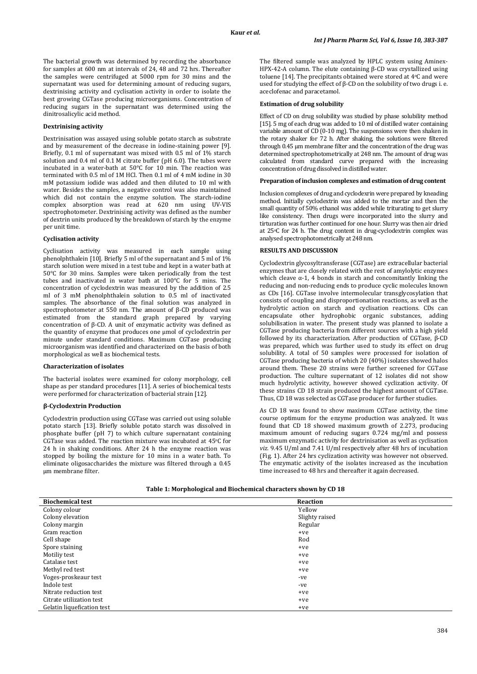The bacterial growth was determined by recording the absorbance for samples at 600 nm at intervals of 24, 48 and 72 hrs. Thereafter the samples were centrifuged at 5000 rpm for 30 mins and the supernatant was used for determining amount of reducing sugars, dextrinising activity and cyclisation activity in order to isolate the best growing CGTase producing microorganisms. Concentration of reducing sugars in the supernatant was determined using the dinitrosalicylic acid method.

# **Dextrinising activity**

Dextrinisation was assayed using soluble potato starch as substrate and by measurement of the decrease in iodine-staining power [9]. Briefly, 0.1 ml of supernatant was mixed with 0.5 ml of 1% starch solution and 0.4 ml of 0.1 M citrate buffer (pH 6.0). The tubes were incubated in a water-bath at 50°C for 10 min. The reaction was terminated with 0.5 ml of 1M HCl. Then 0.1 ml of 4 mM iodine in 30 mM potassium iodide was added and then diluted to 10 ml with water. Besides the samples, a negative control was also maintained which did not contain the enzyme solution. The starch-iodine complex absorption was read at 620 nm using UV-VIS spectrophotometer. Dextrinising activity was defined as the number of dextrin units produced by the breakdown of starch by the enzyme per unit time.

#### **Cyclisation activity**

Cyclisation activity was measured in each sample using phenolphthalein [10]. Briefly 5 ml of the supernatant and 5 ml of  $1\%$ starch solution were mixed in a test tube and kept in a water bath at 50°C for 30 mins. Samples were taken periodically from the test tubes and inactivated in water bath at 100°C for 5 mins. The concentration of cyclodextrin was measured by the addition of 2.5 ml of 3 mM phenolphthalein solution to 0.5 ml of inactivated samples. The absorbance of the final solution was analyzed in spectrophotometer at 550 nm. The amount of β-CD produced was estimated from the standard graph prepared by varying concentration of β-CD. A unit of enzymatic activity was defined as the quantity of enzyme that produces one μmol of cyclodextrin per minute under standard conditions. Maximum CGTase producing microorganism was identified and characterized on the basis of both morphological as well as biochemical tests.

### **Characterization of isolates**

The bacterial isolates were examined for colony morphology, cell shape as per standard procedures [11]. A series of biochemical tests were performed for characterization of bacterial strain [12].

### **β-Cyclodextrin Production**

Cyclodextrin production using CGTase was carried out using soluble potato starch [13]. Briefly soluble potato starch was dissolved in phosphate buffer (pH 7) to which culture supernatant containing CGTase was added. The reaction mixture was incubated at 45o C for 24 h in shaking conditions. After 24 h the enzyme reaction was stopped by boiling the mixture for 10 mins in a water bath. To eliminate oligosaccharides the mixture was filtered through a 0.45 µm membrane filter.

The filtered sample was analyzed by HPLC system using Aminex-HPX-42-A column. The elute containing β-CD was crystallized using toluene [14]. The precipitants obtained were stored at 4°C and were used for studying the effect of β-CD on the solubility of two drugs i. e. aceclofenac and paracetamol.

#### **Estimation of drug solubility**

Effect of CD on drug solubility was studied by phase solubility method [15]. 5 mg of each drug was added to 10 ml of distilled water containing variable amount of CD (0-10 mg). The suspensions were then shaken in the rotary shaker for 72 h. After shaking, the solutions were filtered through  $0.45$  µm membrane filter and the concentration of the drug was determined spectrophotometrically at 248 nm. The amount of drug was calculated from standard curve prepared with the increasing concentration of drug dissolved in distilled water.

#### **Preparation of inclusion complexes and estimation of drug content**

Inclusion complexes of drug and cyclodexrin were prepared by kneading method. Initially cyclodextrin was added to the mortar and then the small quantity of 50% ethanol was added while triturating to get slurry like consistency. Then drugs were incorporated into the slurry and tirturation was further continued for one hour. Slurry was then air dried at 25o C for 24 h. The drug content in drug-cyclodextrin complex was analysed spectrophotometrically at 248 nm.

### **RESULTS AND DISCUSSION**

Cyclodextrin glycosyltransferase (CGTase) are extracellular bacterial enzymes that are closely related with the rest of amylolytic enzymes which cleave  $\alpha$ -1, 4 bonds in starch and concomitantly linking the reducing and non-reducing ends to produce cyclic molecules known as CDs [16]. CGTase involve intermolecular transglycosylation that consists of coupling and disproportionation reactions, as well as the hydrolytic action on starch and cyclisation reactions. CDs can encapsulate other hydrophobic organic substances, adding solubilisation in water. The present study was planned to isolate a CGTase producing bacteria from different sources with a high yield followed by its characterization. After production of CGTase, β-CD was prepared, which was further used to study its effect on drug solubility. A total of 50 samples were processed for isolation of CGTase producing bacteria of which 20 (40%) isolates showed halos around them. These 20 strains were further screened for CGTase production. The culture supernatant of 12 isolates did not show much hydrolytic activity, however showed cyclization activity. Of these strains CD 18 strain produced the highest amount of CGTase. Thus, CD 18 was selected as CGTase producer for further studies.

As CD 18 was found to show maximum CGTase activity, the time course optimum for the enzyme production was analyzed. It was found that CD 18 showed maximum growth of 2.273, producing maximum amount of reducing sugars 0.724 mg/ml and possess maximum enzymatic activity for dextrinisation as well as cyclisation *viz.* 9.45 U/ml and 7.41 U/ml respectively after 48 hrs of incubation (Fig. 1). After 24 hrs cyclization activity was however not observed. The enzymatic activity of the isolates increased as the incubation time increased to 48 hrs and thereafter it again decreased.

| Table 1: Morphological and Biochemical characters shown by CD 18 |
|------------------------------------------------------------------|
|------------------------------------------------------------------|

| <b>Biochemical test</b>    | <b>Reaction</b> |  |
|----------------------------|-----------------|--|
| Colony colour              | Yellow          |  |
| Colony elevation           | Slighty raised  |  |
| Colony margin              | Regular         |  |
| Gram reaction              | $+ve$           |  |
| Cell shape                 | Rod             |  |
| Spore staining             | $+ve$           |  |
| Motiliy test               | $+ve$           |  |
| Catalase test              | $+ve$           |  |
| Methyl red test            | $+ve$           |  |
| Voges-proskeaur test       | -ve             |  |
| Indole test                | -ve             |  |
| Nitrate reduction test     | $+ve$           |  |
| Citrate utilization test   | $+ve$           |  |
| Gelatin liquefication test | $+ve$           |  |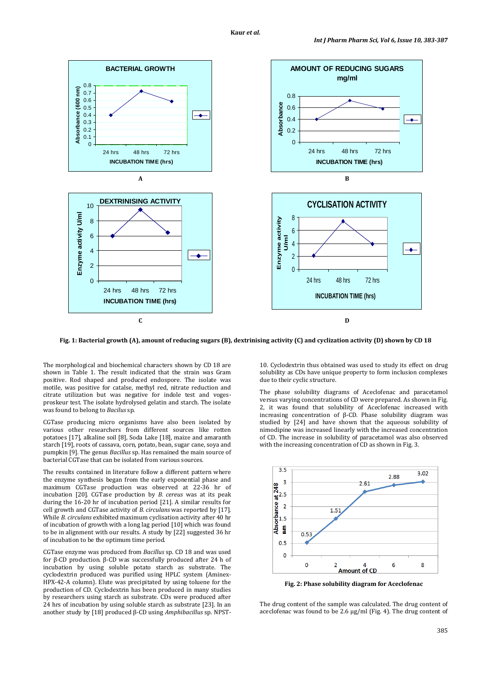

**Fig. 1: Bacterial growth (A), amount of reducing sugars (B), dextrinising activity (C) and cyclization activity (D) shown by CD 18**

The morphological and biochemical characters shown by CD 18 are shown in Table 1. The result indicated that the strain was Gram positive. Rod shaped and produced endospore. The isolate was motile, was positive for catalse, methyl red, nitrate reduction and citrate utilization but was negative for indole test and vogesproskeur test. The isolate hydrolysed gelatin and starch. The isolate was found to belong to *Bacilus* sp.

CGTase producing micro organisms have also been isolated by various other researchers from different sources like rotten potatoes [17], alkaline soil [8], Soda Lake [18], maize and amaranth starch [19], roots of cassava, corn, potato, bean, sugar cane, soya and pumpkin [9]. The genus *Bacillus* sp. Has remained the main source of bacterial CGTase that can be isolated from various sources.

The results contained in literature follow a different pattern where the enzyme synthesis began from the early exponential phase and maximum CGTase production was observed at 22-36 hr of incubation [20]. CGTase production by *B. cereus* was at its peak during the 16-20 hr of incubation period [21]. A similar results for cell growth and CGTase activity of *B. circulans* was reported by [17]. While *B. circulans* exhibited maximum cyclisation activity after 40 hr of incubation of growth with a long lag period [10] which was found to be in alignment with our results. A study by [22] suggested 36 hr of incubation to be the optimum time period.

CGTase enzyme was produced from *Bacillus* sp. CD 18 and was used for β-CD production. β-CD was successfully produced after 24 h of incubation by using soluble potato starch as substrate. The cyclodextrin produced was purified using HPLC system (Aminex-HPX-42-A column). Elute was precipitated by using toluene for the production of CD. Cyclodextrin has been produced in many studies by researchers using starch as substrate. CDs were produced after 24 hrs of incubation by using soluble starch as substrate [23]. In an another study by [18] produced β-CD using *Amphibacillus* sp. NPST-

10. Cyclodextrin thus obtained was used to study its effect on drug solubility as CDs have unique property to form inclusion complexes due to their cyclic structure.

The phase solubility diagrams of Aceclofenac and paracetamol versus varying concentrations of CD were prepared. As shown in Fig. 2, it was found that solubility of Aceclofenac increased with increasing concentration of β-CD. Phase solubility diagram was studied by [24] and have shown that the aqueous solubility of nimodipine was increased linearly with the increased concentration of CD. The increase in solubility of paracetamol was also observed with the increasing concentration of CD as shown in Fig. 3.



**Fig. 2: Phase solubility diagram for Aceclofenac**

The drug content of the sample was calculated. The drug content of aceclofenac was found to be 2.6 µg/ml (Fig. 4). The drug content of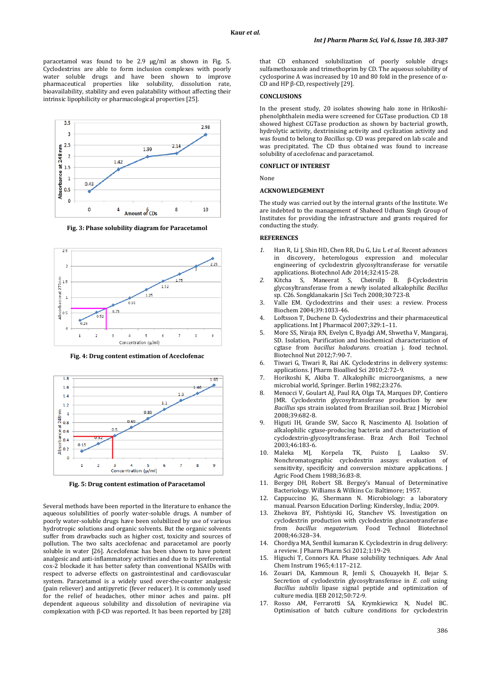paracetamol was found to be 2.9 µg/ml as shown in Fig. 5. Cyclodextrins are able to form inclusion complexes with poorly water soluble drugs and have been shown to improve pharmaceutical properties like solubility, dissolution rate, bioavailability, stability and even palatability without affecting their intrinsic lipophilicity or pharmacological properties [25].



**Fig. 3: Phase solubility diagram for Paracetamol**



**Fig. 4: Drug content estimation of Aceclofenac**



**Fig. 5: Drug content estimation of Paracetamol**

Several methods have been reported in the literature to enhance the aqueous solubilities of poorly water-soluble drugs. A number of poorly water-soluble drugs have been solubilized by use of various hydrotropic solutions and organic solvents. But the organic solvents suffer from drawbacks such as higher cost, toxicity and sources of pollution. The two salts aceclofenac and paracetamol are poorly soluble in water [26]. Aceclofenac has been shown to have potent analgesic and anti-inflammatory activities and due to its preferential cox-2 blockade it has better safety than conventional NSAIDs with respect to adverse effects on gastrointestinal and cardiovascular system. Paracetamol is a widely used over-the-counter analgesic (pain reliever) and antipyretic (fever reducer). It is commonly used for the relief of headaches, other minor aches and pains. pH dependent aqueous solubility and dissolution of nevirapine via complexation with β-CD was reported. It has been reported by [28]

that CD enhanced solubilization of poorly soluble drugs sulfamethoxazole and trimethoprim by CD. The aqueous solubility of cyclosporine A was increased by 10 and 80 fold in the presence of α-CD and HP β-CD, respectively [29].

#### **CONCLUSIONS**

In the present study, 20 isolates showing halo zone in Hrikoshiphenolphthalein media were screened for CGTase production. CD 18 showed highest CGTase production as shown by bacterial growth, hydrolytic activity, dextrinising activity and cyclization activity and was found to belong to *Bacillus* sp. CD was prepared on lab scale and was precipitated. The CD thus obtained was found to increase solubility of aceclofenac and paracetamol.

#### **CONFLICT OF INTEREST**

None

#### **ACKNOWLEDGEMENT**

The study was carried out by the internal grants of the Institute. We are indebted to the management of Shaheed Udham Singh Group of Institutes for providing the infrastructure and grants required for conducting the study.

#### **REFERENCES**

- *1.* Han R, Li J, Shin HD, Chen RR, Du G, Liu L *et al*. Recent advances in discovery, heterologous expression and molecular engineering of cyclodextrin glycosyltransferase for versatile applications. Biotechnol Adv 2014;32:415-28.
- *2.* Kitcha S, Maneerat S, Cheirsilp B. β-Cyclodextrin glycosyltransferase from a newly isolated alkalophilic *Bacillus*  sp. C26. Songklanakarin J Sci Tech 2008;30:723-8.
- 3. Valle EM. Cyclodextrins and their uses: a review*.* Process Biochem 2004;39:1033-46.
- 4. Loftsson T, Duchene D. Cyclodextrins and their pharmaceutical applications. Int J Pharmacol 2007;329:1–11.
- 5. More SS, Niraja RN, Evelyn C, Byadgi AM, Shwetha V, Mangaraj, SD. Isolation, Purification and biochemical characterization of cgtase from *bacillus halodurans.* croatian j. food technol. Biotechnol Nut 2012;7:90-7.
- 6. Tiwari G, Tiwari R, Rai AK. Cyclodextrins in delivery systems: applications. J Pharm Bioallied Sci 2010;2:72–9.
- 7. Horikoshi K, Akiba T. Alkalophilic microorganisms, a new microbial world, Springer. Berlin 1982;23:276.
- 8. Menocci V, Goulart AJ, Paul RA, Olga TA, Marques DP, Contiero JMR. Cyclodextrin glycosyltransferase production by new *Bacillus* sps strain isolated from Brazilian soil. Braz J Microbiol 2008;39:682-8.
- 9. Higuti IH, Grande SW, Sacco R, Nascimento AJ. Isolation of alkalophilic cgtase-producing bacteria and characterization of cyclodextrin-glycosyltransferase. Braz Arch Boil Technol 2003;46:183-6.<br>10. Maleka MJ,
- 10. Maleka MJ, Korpela TK, Puisto J, Laakso SV. Nonchromatographic cyclodextrin assays: evaluation of sensitivity, specificity and conversion mixture applications. I Agric Food Chem 1988;36:83-8.
- 11. Bergey DH, Robert SB. Bergey's Manual of Determinative Bacteriology. Williams & Wilkins Co: Baltimore; 1957.
- 12. Cappuccino JG, Shermann N. Microbiology: a laboratory manual. Pearson Education Dorling: Kindersley, India; 2009.
- 13. Zhekova BY, Pishtiyski IG, Stanchev VS. Investigation on cyclodextrin production with cyclodextrin glucanotransferase from *bacillus megaterium.* Food Technol Biotechnol 2008;46:328–34.
- 14. Chordiya MA, Senthil kumaran K. Cyclodextrin in drug delivery: a review. J Pharm Pharm Sci 2012;1:19-29.
- 15. Higuchi T, Connors KA. Phase solubility techniques. Adv Anal Chem Instrum 1965;4:117–212.
- 16. Zouari DA, Kammoun R, Jemli S, Chouayekh H, Bejar S. Secretion of cyclodextrin glycosyltransferase in *E. coli* using *Bacillus subtilis* lipase signal peptide and optimization of culture media*.* IJEB 2012;50:72-9.
- 17. Rosso AM, Ferrarotti SA, Krymkiewicz N, Nudel BC. Optimisation of batch culture conditions for cyclodextrin